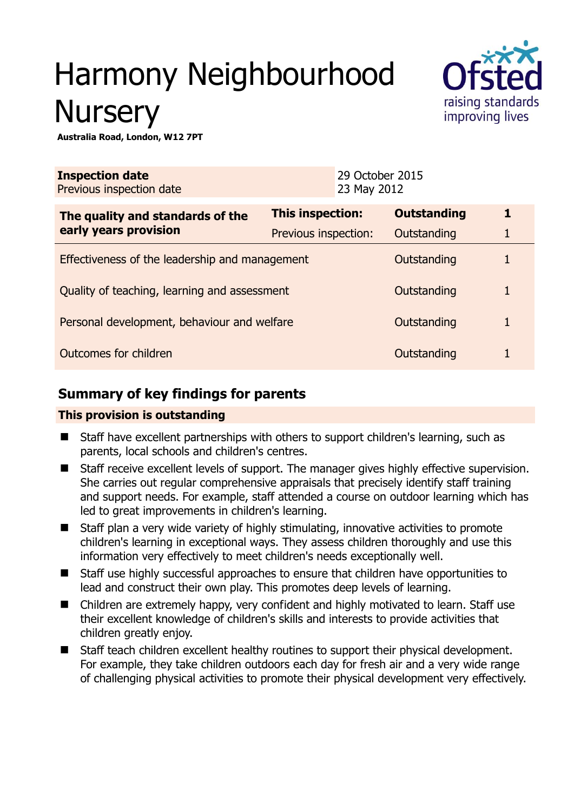# Harmony Neighbourhood **Nursery**



**Australia Road, London, W12 7PT** 

| <b>Inspection date</b><br>Previous inspection date        |                      | 29 October 2015<br>23 May 2012 |                    |   |
|-----------------------------------------------------------|----------------------|--------------------------------|--------------------|---|
| The quality and standards of the<br>early years provision | This inspection:     |                                | <b>Outstanding</b> | 1 |
|                                                           | Previous inspection: |                                | Outstanding        | 1 |
| Effectiveness of the leadership and management            |                      |                                | Outstanding        |   |
| Quality of teaching, learning and assessment              |                      |                                | Outstanding        | 1 |
| Personal development, behaviour and welfare               |                      |                                | Outstanding        | 1 |
| Outcomes for children                                     |                      |                                | Outstanding        |   |

# **Summary of key findings for parents**

## **This provision is outstanding**

- Staff have excellent partnerships with others to support children's learning, such as parents, local schools and children's centres.
- Staff receive excellent levels of support. The manager gives highly effective supervision. She carries out regular comprehensive appraisals that precisely identify staff training and support needs. For example, staff attended a course on outdoor learning which has led to great improvements in children's learning.
- Staff plan a very wide variety of highly stimulating, innovative activities to promote children's learning in exceptional ways. They assess children thoroughly and use this information very effectively to meet children's needs exceptionally well.
- Staff use highly successful approaches to ensure that children have opportunities to lead and construct their own play. This promotes deep levels of learning.
- Children are extremely happy, very confident and highly motivated to learn. Staff use their excellent knowledge of children's skills and interests to provide activities that children greatly enjoy.
- Staff teach children excellent healthy routines to support their physical development. For example, they take children outdoors each day for fresh air and a very wide range of challenging physical activities to promote their physical development very effectively.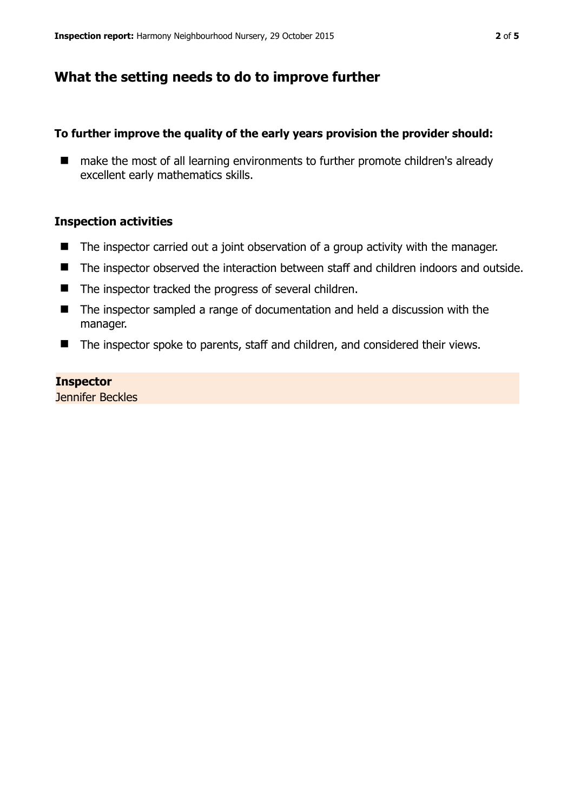## **What the setting needs to do to improve further**

#### **To further improve the quality of the early years provision the provider should:**

■ make the most of all learning environments to further promote children's already excellent early mathematics skills.

#### **Inspection activities**

- The inspector carried out a joint observation of a group activity with the manager.
- The inspector observed the interaction between staff and children indoors and outside.
- $\blacksquare$  The inspector tracked the progress of several children.
- The inspector sampled a range of documentation and held a discussion with the manager.
- The inspector spoke to parents, staff and children, and considered their views.

#### **Inspector**

Jennifer Beckles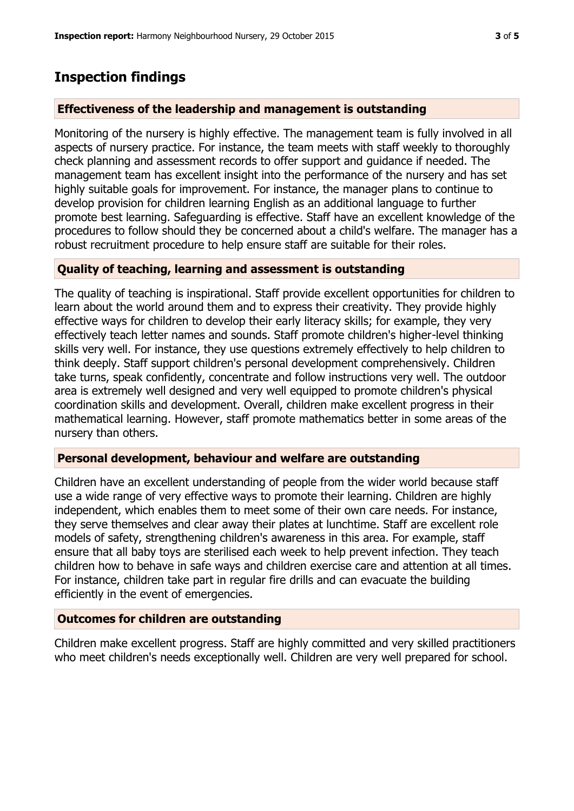# **Inspection findings**

### **Effectiveness of the leadership and management is outstanding**

Monitoring of the nursery is highly effective. The management team is fully involved in all aspects of nursery practice. For instance, the team meets with staff weekly to thoroughly check planning and assessment records to offer support and guidance if needed. The management team has excellent insight into the performance of the nursery and has set highly suitable goals for improvement. For instance, the manager plans to continue to develop provision for children learning English as an additional language to further promote best learning. Safeguarding is effective. Staff have an excellent knowledge of the procedures to follow should they be concerned about a child's welfare. The manager has a robust recruitment procedure to help ensure staff are suitable for their roles.

#### **Quality of teaching, learning and assessment is outstanding**

The quality of teaching is inspirational. Staff provide excellent opportunities for children to learn about the world around them and to express their creativity. They provide highly effective ways for children to develop their early literacy skills; for example, they very effectively teach letter names and sounds. Staff promote children's higher-level thinking skills very well. For instance, they use questions extremely effectively to help children to think deeply. Staff support children's personal development comprehensively. Children take turns, speak confidently, concentrate and follow instructions very well. The outdoor area is extremely well designed and very well equipped to promote children's physical coordination skills and development. Overall, children make excellent progress in their mathematical learning. However, staff promote mathematics better in some areas of the nursery than others.

## **Personal development, behaviour and welfare are outstanding**

Children have an excellent understanding of people from the wider world because staff use a wide range of very effective ways to promote their learning. Children are highly independent, which enables them to meet some of their own care needs. For instance, they serve themselves and clear away their plates at lunchtime. Staff are excellent role models of safety, strengthening children's awareness in this area. For example, staff ensure that all baby toys are sterilised each week to help prevent infection. They teach children how to behave in safe ways and children exercise care and attention at all times. For instance, children take part in regular fire drills and can evacuate the building efficiently in the event of emergencies.

## **Outcomes for children are outstanding**

Children make excellent progress. Staff are highly committed and very skilled practitioners who meet children's needs exceptionally well. Children are very well prepared for school.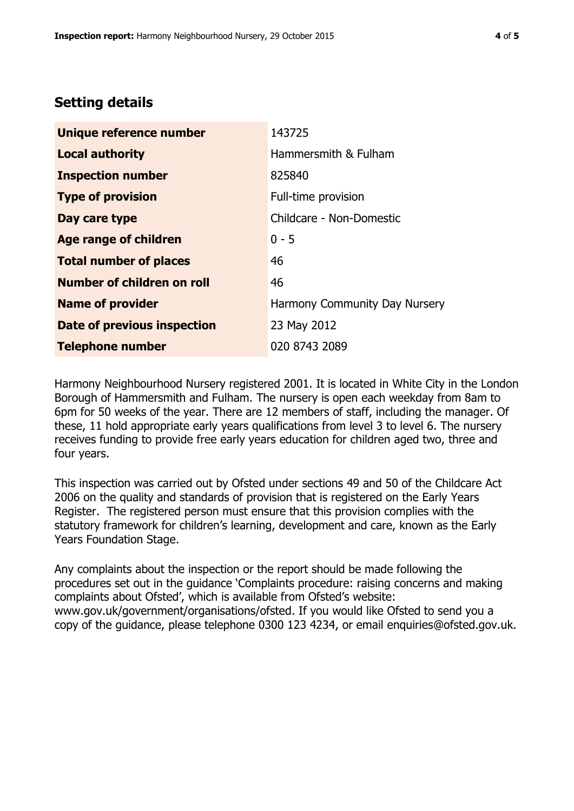# **Setting details**

| Unique reference number       | 143725                        |  |
|-------------------------------|-------------------------------|--|
| <b>Local authority</b>        | Hammersmith & Fulham          |  |
| <b>Inspection number</b>      | 825840                        |  |
| <b>Type of provision</b>      | Full-time provision           |  |
| Day care type                 | Childcare - Non-Domestic      |  |
| Age range of children         | $0 - 5$                       |  |
| <b>Total number of places</b> | 46                            |  |
| Number of children on roll    | 46                            |  |
| <b>Name of provider</b>       | Harmony Community Day Nursery |  |
| Date of previous inspection   | 23 May 2012                   |  |
| <b>Telephone number</b>       | 020 8743 2089                 |  |

Harmony Neighbourhood Nursery registered 2001. It is located in White City in the London Borough of Hammersmith and Fulham. The nursery is open each weekday from 8am to 6pm for 50 weeks of the year. There are 12 members of staff, including the manager. Of these, 11 hold appropriate early years qualifications from level 3 to level 6. The nursery receives funding to provide free early years education for children aged two, three and four years.

This inspection was carried out by Ofsted under sections 49 and 50 of the Childcare Act 2006 on the quality and standards of provision that is registered on the Early Years Register. The registered person must ensure that this provision complies with the statutory framework for children's learning, development and care, known as the Early Years Foundation Stage.

Any complaints about the inspection or the report should be made following the procedures set out in the guidance 'Complaints procedure: raising concerns and making complaints about Ofsted', which is available from Ofsted's website: www.gov.uk/government/organisations/ofsted. If you would like Ofsted to send you a copy of the guidance, please telephone 0300 123 4234, or email enquiries@ofsted.gov.uk.